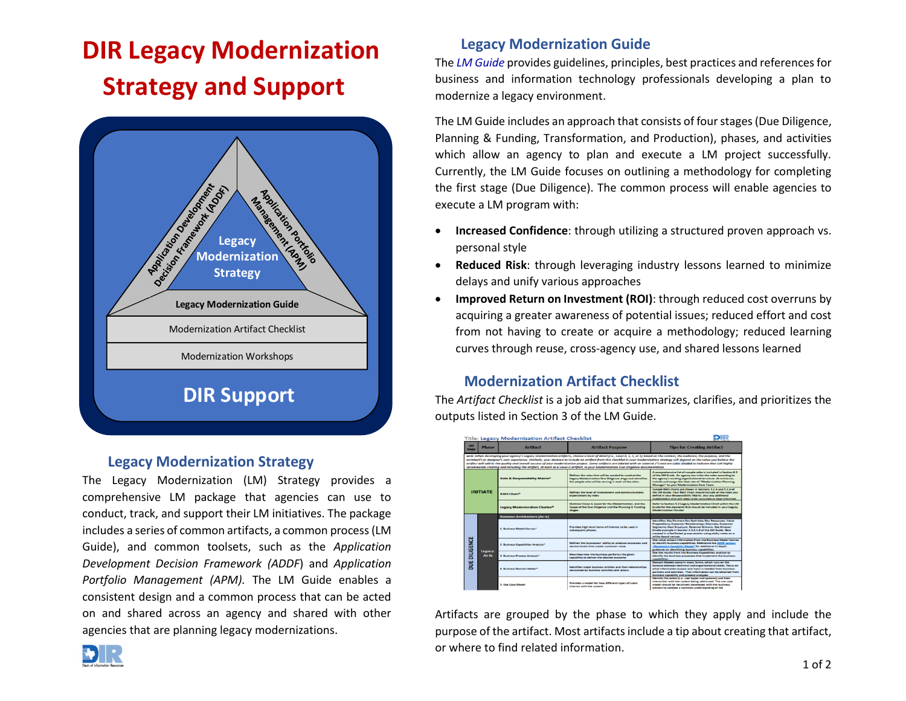# **DIR Legacy Modernization Strategy and Support**



## **Legacy Modernization Strategy**

The Legacy Modernization (LM) Strategy provides a comprehensive LM package that agencies can use to conduct, track, and support their LM initiatives. The package includes a series of common artifacts, a common process(LM Guide), and common toolsets, such as the *Application Development Decision Framework (ADDF*) and *Application Portfolio Management (APM).* The LM Guide enables a consistent design and a common process that can be acted on and shared across an agency and shared with other agencies that are planning legacy modernizations.

# **Legacy Modernization Guide**

The *LM [Guide](http://www.dir.texas.gov/LM-Guide)* provides guidelines, principles, best practices and references for business and information technology professionals developing a plan to modernize a legacy environment.

The LM Guide includes an approach that consists of four stages(Due Diligence, Planning & Funding, Transformation, and Production), phases, and activities which allow an agency to plan and execute a LM project successfully. Currently, the LM Guide focuses on outlining a methodology for completing the first stage (Due Diligence). The common process will enable agencies to execute a LM program with:

- **Increased Confidence**: through utilizing a structured proven approach vs. personal style
- **Reduced Risk**: through leveraging industry lessons learned to minimize delays and unify various approaches
- **Improved Return on Investment (ROI)**: through reduced cost overruns by acquiring a greater awareness of potential issues; reduced effort and cost from not having to create or acquire a methodology; reduced learning curves through reuse, cross-agency use, and shared lessons learned

# **Modernization Artifact Checklist**

The *[Artifact Checklist](https://dir1.sharepoint.com/sites/ess/Shared%20Documents/Ess%20Documents%20Work%20Papers/HB1890/Legacy%20Modernization%20Strategy/LM%20Artifact%20Checklist.docx)* is a job aid that summarizes, clarifies, and prioritizes the outputs listed in Section 3 of the LM Guide.

| <b>Title: Legacy Modernization Artifact Checklist</b> |                  |                                          |                                                                                                                                                                                                                                                                                                                                                                                                                                                                                                                                                                                                                                                                                                          |                                                                                                                                                                                                                                                                                                                                            |  |
|-------------------------------------------------------|------------------|------------------------------------------|----------------------------------------------------------------------------------------------------------------------------------------------------------------------------------------------------------------------------------------------------------------------------------------------------------------------------------------------------------------------------------------------------------------------------------------------------------------------------------------------------------------------------------------------------------------------------------------------------------------------------------------------------------------------------------------------------------|--------------------------------------------------------------------------------------------------------------------------------------------------------------------------------------------------------------------------------------------------------------------------------------------------------------------------------------------|--|
| <b>LIM</b><br>Stage                                   | <b>Phase</b>     | <b>Artifact</b>                          | <b>Artifact Purpose</b>                                                                                                                                                                                                                                                                                                                                                                                                                                                                                                                                                                                                                                                                                  | <b>Tips for Creating Artifact</b>                                                                                                                                                                                                                                                                                                          |  |
|                                                       |                  |                                          | NOTE: When developing your agency's Legacy Modernization artifacts, choose a level of detail (i.e., Level 0, 1, 2, or 3) based on the context, the audience, the purpose, and the<br>architect's or designer's own experience. Similarly, your decision to include an artifact from this checklist in your modernization strategy will depend on the value you believe the<br>artifact will add to the quality and overall success of your modernization project. Some artifacts are labeled with an asterisk (*) and are color shaded to indicate that DIR highly<br>recommends creating and including the artifact, at least as a Level-0 artifact, in your Modernization Due Diligence documentation. |                                                                                                                                                                                                                                                                                                                                            |  |
| <b>INITIATE</b>                                       |                  | <b>Role &amp; Responsibility Matrix*</b> | Defines the reles that will be needed to conduct the<br>Legacy Modernization Due Diligence stage and identifies<br>the people who will be serving in each of the roles.                                                                                                                                                                                                                                                                                                                                                                                                                                                                                                                                  | A comprehensive list of sample roles is included in Section 6.1.<br>of the LM Guide. An agency can tailor the roles according to<br>the agency's existing organizational structure. At minimum.<br>include and assign the lead role of "Modernization Planning"<br>Manager" to your Modernization Core Team.                               |  |
|                                                       |                  | <b>BACLONARY</b>                         | Defines the level of involvement and communications<br>expectations by roles                                                                                                                                                                                                                                                                                                                                                                                                                                                                                                                                                                                                                             | Sample RACI charts are shown in Sections 3.2.4 and 5.2.4 of<br>the UM Guide. Your RACI Chart should include all the roles you<br>define in your Responsibility Matrix, plus any additional<br>stakeholders that will need to be consulted or kept informed.                                                                                |  |
|                                                       |                  | <b>Legacy Modernization Charter*</b>     | Outlines Vision & Goals for the Modernisation, and the<br>Scope of the Due Dilizence and the Planning & Funding<br>stages.                                                                                                                                                                                                                                                                                                                                                                                                                                                                                                                                                                               | Refer to Section 3.2 Legacy Modernization Chart within the LM<br>Guide for the elements that should be included in your Leracy<br>Modernization Charter.                                                                                                                                                                                   |  |
| <b>DILIGENCE</b><br>₩                                 | Legacy:<br>As Is | <b>Business Architecture (As-Is)</b>     |                                                                                                                                                                                                                                                                                                                                                                                                                                                                                                                                                                                                                                                                                                          |                                                                                                                                                                                                                                                                                                                                            |  |
|                                                       |                  | 1. Business Model Canvas*                | Provides high-level items-of-interest to be used in<br>subsequent phases.                                                                                                                                                                                                                                                                                                                                                                                                                                                                                                                                                                                                                                | Identifies: Key Partners Key Activities; Key Resources; Value<br>Propositions: Customer Relationships: Channels: Customer<br>Segments; Cost Structure; Revenue Streams. See Amazon<br>Kingle expresse in Section 3.3.2.1.6 of the IM Quide, Best-<br>created in a facilitated group session using sticky notes on a<br>white-board canvas. |  |
|                                                       |                  | 2. Business Capabilities Analysis*       | Defines the businesses' ability to produce outcomes and<br>service levels that create customer value.                                                                                                                                                                                                                                                                                                                                                                                                                                                                                                                                                                                                    | Use value stream information from the Business Model Canvas<br>to identify business capabilities. Reference the ADDF section<br>"Developing Capability Model" for additional in-depth<br>guidance on identifying business capabilities.                                                                                                    |  |
|                                                       |                  | 3. Business Process Analysis*            | Describes how the business performs the given<br>capability to deliver the desired outcome.                                                                                                                                                                                                                                                                                                                                                                                                                                                                                                                                                                                                              | Use the results from the Business Capabilities analysis to<br>identify the locainess processes that implement the business<br>ranshilities.                                                                                                                                                                                                |  |
|                                                       |                  | 4. Business Domain Model?                | Identifies major business entities and their relationships<br>consumed by business activities and actors.                                                                                                                                                                                                                                                                                                                                                                                                                                                                                                                                                                                                | Demain Medels come in many forms, which vary on the<br>balance between technical and organizational needs. Focus on<br>what information output and input is needed from business<br>partners and activities. That information can be obtained from<br>business capability and process analyses.                                            |  |
|                                                       |                  | 5. Line Cane Model                       | Provides a model for how different types of users<br>interact with the avatem.                                                                                                                                                                                                                                                                                                                                                                                                                                                                                                                                                                                                                           | Identify the actors (i.e. user tupes and systems) and their<br>intersction with the system being soldressed. The use case<br>model should be iteratively developed with the business<br>owners to validate a common understanding of the                                                                                                   |  |

Artifacts are grouped by the phase to which they apply and include the purpose of the artifact. Most artifacts include a tip about creating that artifact, or where to find related information.